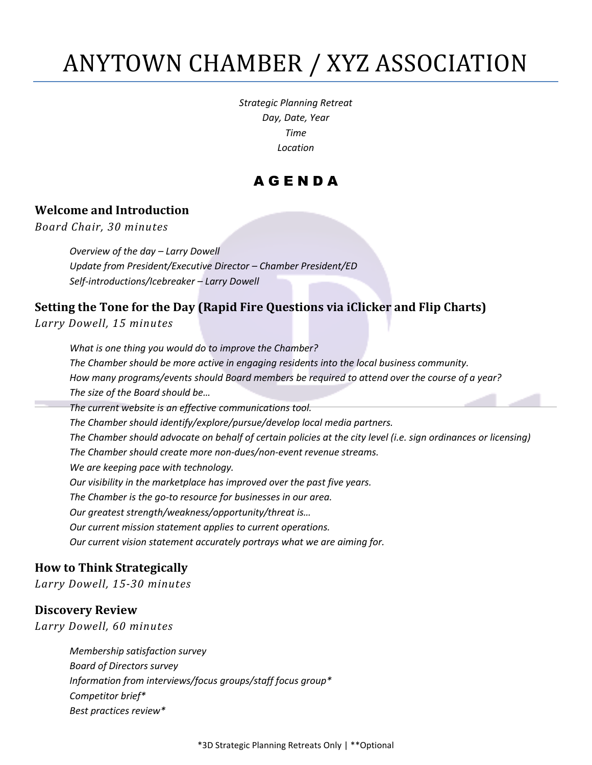# ANYTOWN CHAMBER / XYZ ASSOCIATION

*Strategic Planning Retreat Day, Date, Year Time Location*

# A G E N D A

#### **Welcome and Introduction**

*Board Chair, 30 minutes*

*Overview of the day – Larry Dowell Update from President/Executive Director – Chamber President/ED Self-introductions/Icebreaker – Larry Dowell*

# **Setting the Tone for the Day (Rapid Fire Questions via iClicker and Flip Charts)**

*Larry Dowell, 15 minutes*

*What is one thing you would do to improve the Chamber? The Chamber should be more active in engaging residents into the local business community. How many programs/events should Board members be required to attend over the course of a year? The size of the Board should be… The current website is an effective communications tool. The Chamber should identify/explore/pursue/develop local media partners. The Chamber should advocate on behalf of certain policies at the city level (i.e. sign ordinances or licensing) The Chamber should create more non-dues/non-event revenue streams. We are keeping pace with technology. Our visibility in the marketplace has improved over the past five years. The Chamber is the go-to resource for businesses in our area. Our greatest strength/weakness/opportunity/threat is… Our current mission statement applies to current operations. Our current vision statement accurately portrays what we are aiming for.*

#### **How to Think Strategically**

*Larry Dowell, 15-30 minutes*

#### **Discovery Review**

*Larry Dowell, 60 minutes*

*Membership satisfaction survey Board of Directors survey Information from interviews/focus groups/staff focus group\* Competitor brief\* Best practices review\**